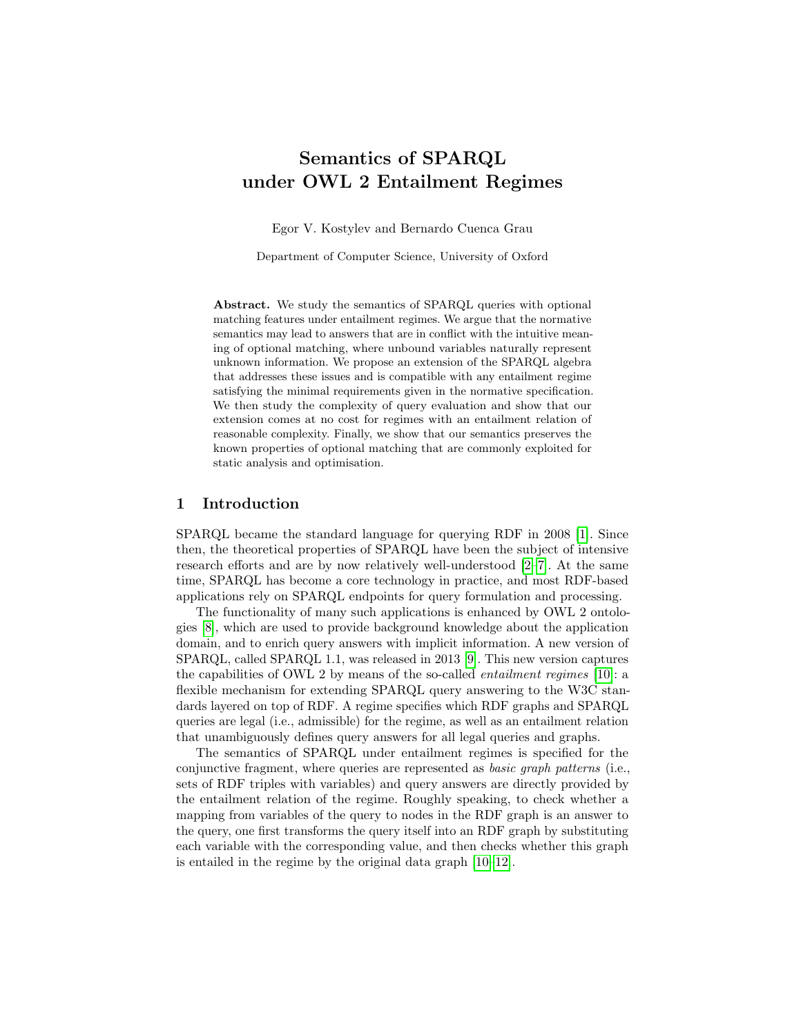# Semantics of SPARQL under OWL 2 Entailment Regimes

Egor V. Kostylev and Bernardo Cuenca Grau

Department of Computer Science, University of Oxford

Abstract. We study the semantics of SPARQL queries with optional matching features under entailment regimes. We argue that the normative semantics may lead to answers that are in conflict with the intuitive meaning of optional matching, where unbound variables naturally represent unknown information. We propose an extension of the SPARQL algebra that addresses these issues and is compatible with any entailment regime satisfying the minimal requirements given in the normative specification. We then study the complexity of query evaluation and show that our extension comes at no cost for regimes with an entailment relation of reasonable complexity. Finally, we show that our semantics preserves the known properties of optional matching that are commonly exploited for static analysis and optimisation.

## 1 Introduction

SPARQL became the standard language for querying RDF in 2008 [\[1\]](#page-11-0). Since then, the theoretical properties of SPARQL have been the subject of intensive research efforts and are by now relatively well-understood  $[2–7]$  $[2–7]$ . At the same time, SPARQL has become a core technology in practice, and most RDF-based applications rely on SPARQL endpoints for query formulation and processing.

The functionality of many such applications is enhanced by OWL 2 ontologies [\[8\]](#page-11-3), which are used to provide background knowledge about the application domain, and to enrich query answers with implicit information. A new version of SPARQL, called SPARQL 1.1, was released in 2013 [\[9\]](#page-11-4). This new version captures the capabilities of OWL 2 by means of the so-called entailment regimes [\[10\]](#page-11-5): a flexible mechanism for extending SPARQL query answering to the W3C standards layered on top of RDF. A regime specifies which RDF graphs and SPARQL queries are legal (i.e., admissible) for the regime, as well as an entailment relation that unambiguously defines query answers for all legal queries and graphs.

The semantics of SPARQL under entailment regimes is specified for the conjunctive fragment, where queries are represented as basic graph patterns (i.e., sets of RDF triples with variables) and query answers are directly provided by the entailment relation of the regime. Roughly speaking, to check whether a mapping from variables of the query to nodes in the RDF graph is an answer to the query, one first transforms the query itself into an RDF graph by substituting each variable with the corresponding value, and then checks whether this graph is entailed in the regime by the original data graph [\[10–](#page-11-5)[12\]](#page-11-6).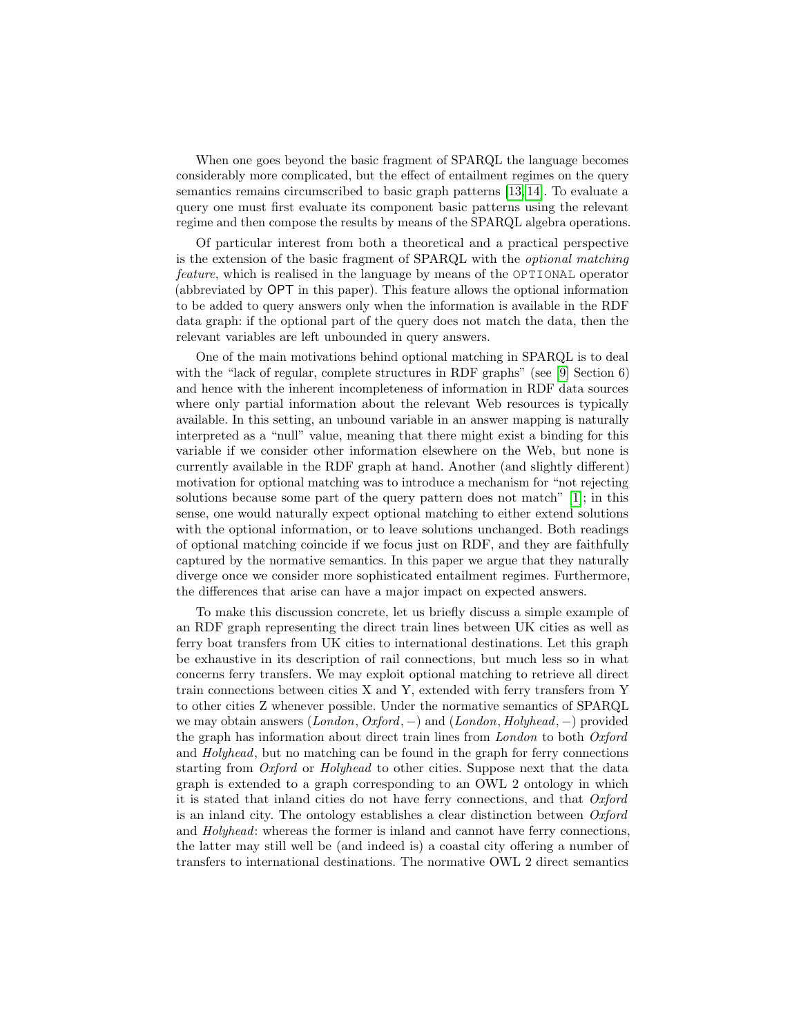When one goes beyond the basic fragment of SPARQL the language becomes considerably more complicated, but the effect of entailment regimes on the query semantics remains circumscribed to basic graph patterns [\[13,](#page-11-7) [14\]](#page-11-8). To evaluate a query one must first evaluate its component basic patterns using the relevant regime and then compose the results by means of the SPARQL algebra operations.

Of particular interest from both a theoretical and a practical perspective is the extension of the basic fragment of SPARQL with the optional matching feature, which is realised in the language by means of the OPTIONAL operator (abbreviated by OPT in this paper). This feature allows the optional information to be added to query answers only when the information is available in the RDF data graph: if the optional part of the query does not match the data, then the relevant variables are left unbounded in query answers.

One of the main motivations behind optional matching in SPARQL is to deal with the "lack of regular, complete structures in RDF graphs" (see [\[9\]](#page-11-4) Section 6) and hence with the inherent incompleteness of information in RDF data sources where only partial information about the relevant Web resources is typically available. In this setting, an unbound variable in an answer mapping is naturally interpreted as a "null" value, meaning that there might exist a binding for this variable if we consider other information elsewhere on the Web, but none is currently available in the RDF graph at hand. Another (and slightly different) motivation for optional matching was to introduce a mechanism for "not rejecting solutions because some part of the query pattern does not match" [\[1\]](#page-11-0); in this sense, one would naturally expect optional matching to either extend solutions with the optional information, or to leave solutions unchanged. Both readings of optional matching coincide if we focus just on RDF, and they are faithfully captured by the normative semantics. In this paper we argue that they naturally diverge once we consider more sophisticated entailment regimes. Furthermore, the differences that arise can have a major impact on expected answers.

To make this discussion concrete, let us briefly discuss a simple example of an RDF graph representing the direct train lines between UK cities as well as ferry boat transfers from UK cities to international destinations. Let this graph be exhaustive in its description of rail connections, but much less so in what concerns ferry transfers. We may exploit optional matching to retrieve all direct train connections between cities X and Y, extended with ferry transfers from Y to other cities Z whenever possible. Under the normative semantics of SPARQL we may obtain answers (London, Oxford,  $-$ ) and (London, Holyhead,  $-$ ) provided the graph has information about direct train lines from London to both Oxford and Holyhead, but no matching can be found in the graph for ferry connections starting from *Oxford* or *Holyhead* to other cities. Suppose next that the data graph is extended to a graph corresponding to an OWL 2 ontology in which it is stated that inland cities do not have ferry connections, and that Oxford is an inland city. The ontology establishes a clear distinction between  $Oxford$ and Holyhead: whereas the former is inland and cannot have ferry connections, the latter may still well be (and indeed is) a coastal city offering a number of transfers to international destinations. The normative OWL 2 direct semantics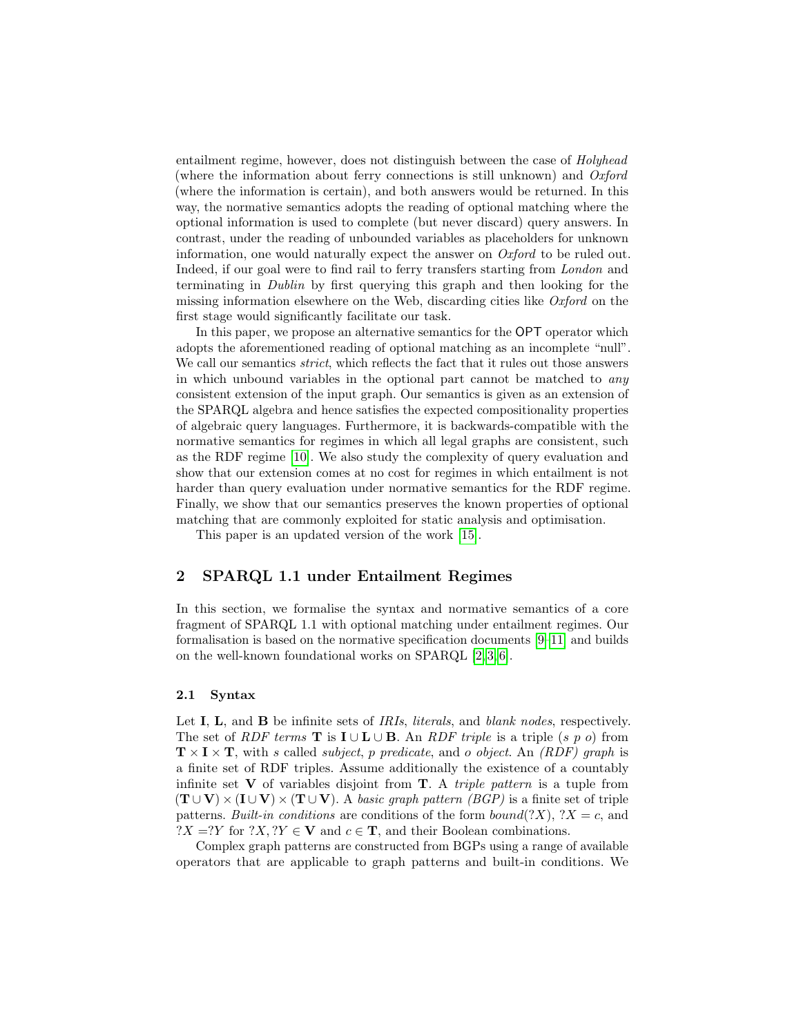entailment regime, however, does not distinguish between the case of Holyhead (where the information about ferry connections is still unknown) and  $Oxford$ (where the information is certain), and both answers would be returned. In this way, the normative semantics adopts the reading of optional matching where the optional information is used to complete (but never discard) query answers. In contrast, under the reading of unbounded variables as placeholders for unknown information, one would naturally expect the answer on Oxford to be ruled out. Indeed, if our goal were to find rail to ferry transfers starting from *London* and terminating in Dublin by first querying this graph and then looking for the missing information elsewhere on the Web, discarding cities like  $Oxford$  on the first stage would significantly facilitate our task.

In this paper, we propose an alternative semantics for the OPT operator which adopts the aforementioned reading of optional matching as an incomplete "null". We call our semantics *strict*, which reflects the fact that it rules out those answers in which unbound variables in the optional part cannot be matched to any consistent extension of the input graph. Our semantics is given as an extension of the SPARQL algebra and hence satisfies the expected compositionality properties of algebraic query languages. Furthermore, it is backwards-compatible with the normative semantics for regimes in which all legal graphs are consistent, such as the RDF regime [\[10\]](#page-11-5). We also study the complexity of query evaluation and show that our extension comes at no cost for regimes in which entailment is not harder than query evaluation under normative semantics for the RDF regime. Finally, we show that our semantics preserves the known properties of optional matching that are commonly exploited for static analysis and optimisation.

This paper is an updated version of the work [\[15\]](#page-11-9).

## <span id="page-2-0"></span>2 SPARQL 1.1 under Entailment Regimes

In this section, we formalise the syntax and normative semantics of a core fragment of SPARQL 1.1 with optional matching under entailment regimes. Our formalisation is based on the normative specification documents [\[9](#page-11-4)[–11\]](#page-11-10) and builds on the well-known foundational works on SPARQL [\[2,](#page-11-1) [3,](#page-11-11) [6\]](#page-11-12).

#### 2.1 Syntax

Let I, L, and B be infinite sets of *IRIs, literals*, and *blank nodes*, respectively. The set of RDF terms T is  $I \cup L \cup B$ . An RDF triple is a triple (s p o) from  $\mathbf{T} \times \mathbf{I} \times \mathbf{T}$ , with s called subject, p predicate, and o object. An *(RDF)* graph is a finite set of RDF triples. Assume additionally the existence of a countably infinite set  $V$  of variables disjoint from  $T$ . A *triple pattern* is a tuple from  $(T \cup V) \times (I \cup V) \times (T \cup V)$ . A basic graph pattern (BGP) is a finite set of triple patterns. Built-in conditions are conditions of the form  $bound(?X)$ ,  $?X = c$ , and  $?X = ?Y$  for  $?X, ?Y \in V$  and  $c \in T$ , and their Boolean combinations.

Complex graph patterns are constructed from BGPs using a range of available operators that are applicable to graph patterns and built-in conditions. We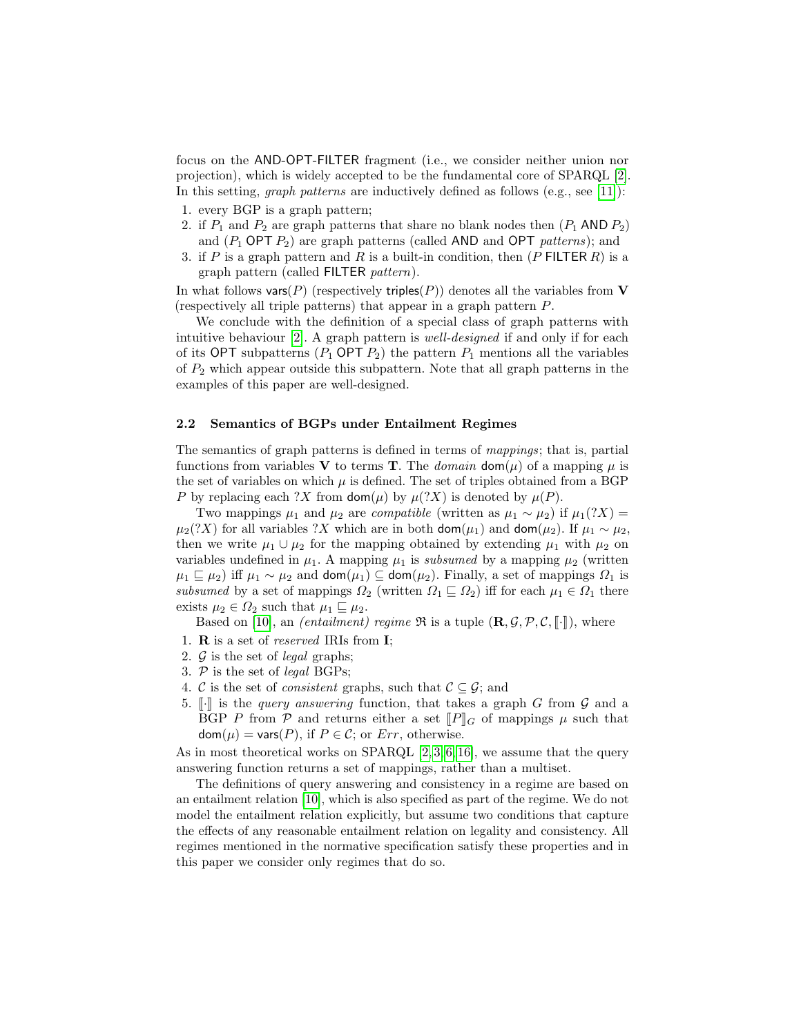focus on the AND-OPT-FILTER fragment (i.e., we consider neither union nor projection), which is widely accepted to be the fundamental core of SPARQL [\[2\]](#page-11-1). In this setting, graph patterns are inductively defined as follows (e.g., see [\[11\]](#page-11-10)):

- 1. every BGP is a graph pattern;
- 2. if  $P_1$  and  $P_2$  are graph patterns that share no blank nodes then  $(P_1 \text{ AND } P_2)$ and  $(P_1$  OPT  $P_2$ ) are graph patterns (called AND and OPT *patterns*); and
- 3. if P is a graph pattern and R is a built-in condition, then  $(P$  FILTER R) is a graph pattern (called FILTER pattern).

In what follows vars(P) (respectively triples(P)) denotes all the variables from V (respectively all triple patterns) that appear in a graph pattern P.

We conclude with the definition of a special class of graph patterns with intuitive behaviour  $[2]$ . A graph pattern is *well-designed* if and only if for each of its OPT subpatterns ( $P_1$  OPT  $P_2$ ) the pattern  $P_1$  mentions all the variables of  $P_2$  which appear outside this subpattern. Note that all graph patterns in the examples of this paper are well-designed.

#### 2.2 Semantics of BGPs under Entailment Regimes

The semantics of graph patterns is defined in terms of mappings; that is, partial functions from variables V to terms T. The *domain*  $\text{dom}(\mu)$  of a mapping  $\mu$  is the set of variables on which  $\mu$  is defined. The set of triples obtained from a BGP P by replacing each ?X from  $\text{dom}(\mu)$  by  $\mu$ (?X) is denoted by  $\mu$ (P).

Two mappings  $\mu_1$  and  $\mu_2$  are *compatible* (written as  $\mu_1 \sim \mu_2$ ) if  $\mu_1(?X) =$  $\mu_2(Y)$  for all variables ?X which are in both dom( $\mu_1$ ) and dom( $\mu_2$ ). If  $\mu_1 \sim \mu_2$ , then we write  $\mu_1 \cup \mu_2$  for the mapping obtained by extending  $\mu_1$  with  $\mu_2$  on variables undefined in  $\mu_1$ . A mapping  $\mu_1$  is subsumed by a mapping  $\mu_2$  (written  $\mu_1 \subseteq \mu_2$ ) iff  $\mu_1 \sim \mu_2$  and dom $(\mu_1) \subseteq$  dom $(\mu_2)$ . Finally, a set of mappings  $\Omega_1$  is subsumed by a set of mappings  $\Omega_2$  (written  $\Omega_1 \subseteq \Omega_2$ ) iff for each  $\mu_1 \in \Omega_1$  there exists  $\mu_2 \in \Omega_2$  such that  $\mu_1 \sqsubseteq \mu_2$ .

Based on [\[10\]](#page-11-5), an *(entailment)* regime  $\Re$  is a tuple  $(\mathbf{R}, \mathcal{G}, \mathcal{P}, \mathcal{C}, \llbracket \cdot \rrbracket)$ , where

- 1. R is a set of reserved IRIs from I;
- 2.  $\mathcal G$  is the set of *legal* graphs;
- 3. P is the set of legal BGPs;
- 4. C is the set of *consistent* graphs, such that  $\mathcal{C} \subseteq \mathcal{G}$ ; and
- 5.  $\llbracket \cdot \rrbracket$  is the *query answering* function, that takes a graph G from G and a BGP P from  $P$  and returns either a set  $[ P ]_G$  of mappings  $\mu$  such that  $\textsf{dom}(\mu) = \textsf{vars}(P)$ , if  $P \in \mathcal{C}$ ; or  $Err$ , otherwise.

As in most theoretical works on SPARQL [\[2,](#page-11-1) [3,](#page-11-11) [6,](#page-11-12) [16\]](#page-11-13), we assume that the query answering function returns a set of mappings, rather than a multiset.

The definitions of query answering and consistency in a regime are based on an entailment relation [\[10\]](#page-11-5), which is also specified as part of the regime. We do not model the entailment relation explicitly, but assume two conditions that capture the effects of any reasonable entailment relation on legality and consistency. All regimes mentioned in the normative specification satisfy these properties and in this paper we consider only regimes that do so.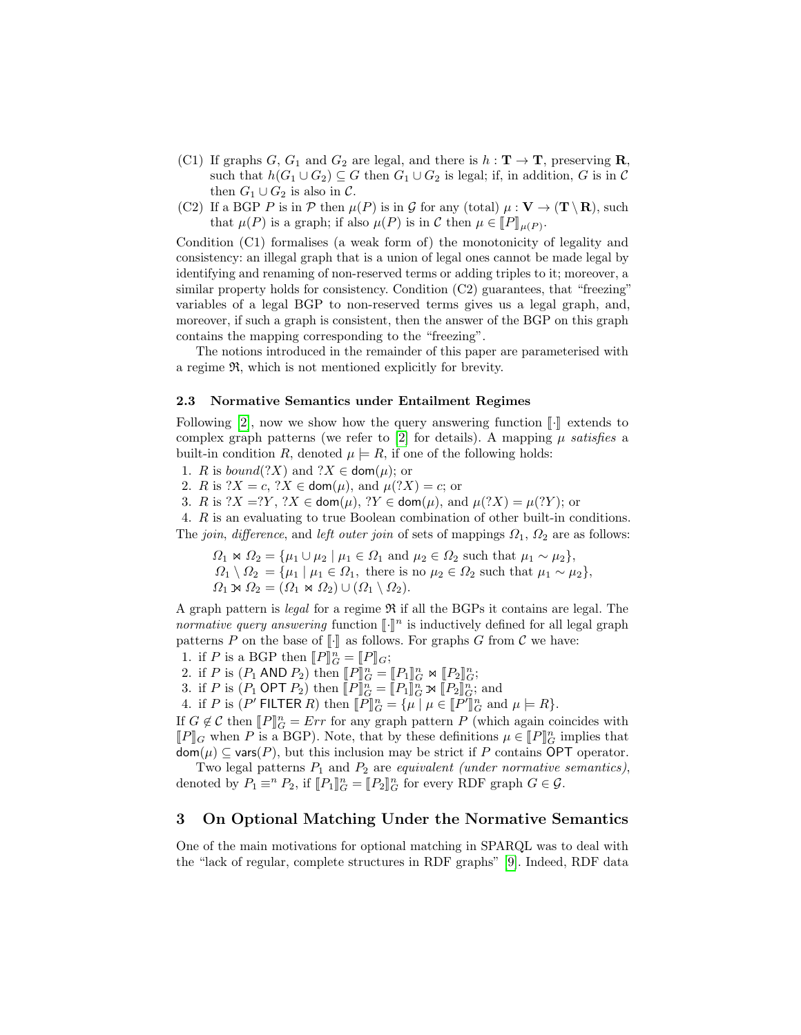- (C1) If graphs G,  $G_1$  and  $G_2$  are legal, and there is  $h : \mathbf{T} \to \mathbf{T}$ , preserving **R**, such that  $h(G_1 \cup G_2) \subseteq G$  then  $G_1 \cup G_2$  is legal; if, in addition, G is in C then  $G_1 \cup G_2$  is also in  $\mathcal{C}$ .
- (C2) If a BGP P is in  $P$  then  $\mu(P)$  is in G for any (total)  $\mu : V \to (T \setminus R)$ , such that  $\mu(P)$  is a graph; if also  $\mu(P)$  is in C then  $\mu \in [P]_{\mu(P)}$ .

Condition (C1) formalises (a weak form of) the monotonicity of legality and consistency: an illegal graph that is a union of legal ones cannot be made legal by identifying and renaming of non-reserved terms or adding triples to it; moreover, a similar property holds for consistency. Condition (C2) guarantees, that "freezing" variables of a legal BGP to non-reserved terms gives us a legal graph, and, moreover, if such a graph is consistent, then the answer of the BGP on this graph contains the mapping corresponding to the "freezing".

The notions introduced in the remainder of this paper are parameterised with a regime R, which is not mentioned explicitly for brevity.

#### 2.3 Normative Semantics under Entailment Regimes

Following [\[2\]](#page-11-1), now we show how the query answering function  $\llbracket \cdot \rrbracket$  extends to complex graph patterns (we refer to [\[2\]](#page-11-1) for details). A mapping  $\mu$  satisfies a built-in condition R, denoted  $\mu \models R$ , if one of the following holds:

- 1. R is bound(?X) and  $?X \in \text{dom}(\mu)$ ; or
- 2. R is  $?X = c$ ,  $?X \in \text{dom}(\mu)$ , and  $\mu(?X) = c$ ; or
- 3. R is  $?X = ?Y$ ,  $?X \in \text{dom}(\mu)$ ,  $?Y \in \text{dom}(\mu)$ , and  $\mu(?X) = \mu(?Y)$ ; or

4. R is an evaluating to true Boolean combination of other built-in conditions. The join, difference, and left outer join of sets of mappings  $\Omega_1$ ,  $\Omega_2$  are as follows:

 $\Omega_1 \Join \Omega_2 = {\mu_1 \cup \mu_2 \mid \mu_1 \in \Omega_1 \text{ and } \mu_2 \in \Omega_2 \text{ such that } \mu_1 \sim \mu_2},$ 

- $\Omega_1 \setminus \Omega_2 = {\mu_1 \mid \mu_1 \in \Omega_1, \text{ there is no } \mu_2 \in \Omega_2 \text{ such that } \mu_1 \sim \mu_2},$
- $\Omega_1 \Join \Omega_2 = (\Omega_1 \Join \Omega_2) \cup (\Omega_1 \setminus \Omega_2).$

A graph pattern is *legal* for a regime  $\Re$  if all the BGPs it contains are legal. The normative query answering function  $\llbracket \cdot \rrbracket^n$  is inductively defined for all legal graph<br>nottorns  $R$  on the base of  $\llbracket \cdot \rrbracket$  as follows. For graphs  $C$  from  $C$  we have: patterns P on the base of  $\llbracket \cdot \rrbracket$  as follows. For graphs G from C we have:

1. if P is a BGP then  $[ P ]_G^n = [P]_G$ ;<br>2. if P is (P. AND P.) then  $[ P ]_n^n =$ 

2. if P is  $(P_1 \text{ AND } P_2)$  then  $[[P]]_G^T = [[P_1]]_G^T \bowtie [[P_2]]_G^T;$ <br>3. if P is  $(P_2 \text{ OPT } P_1)$  then  $[[P]]_H^T = [[P_1]]_H^T \bowtie [[P_2]]_H^T;$ 

3. if P is  $(P_1 \text{ OPT } P_2)$  then  $\llbracket P \rrbracket_{G}^n = \llbracket P_1 \rrbracket_{G}^n \bowtie \llbracket P_2 \rrbracket_{G}^n$ ; and<br>4. if P is  $(P' \text{ Ell} \text{ TED } P)$  then  $\llbracket P \rrbracket_{G}^n = \llbracket \mu \rrbracket_{G}^n \bowtie \llbracket P_2 \rrbracket_{G}^n$ ; and

4. if P is  $(P'$  FILTER R) then  $\llbracket P \rrbracket_{G}^{n} = \{\mu \mid \mu \in \llbracket P' \rrbracket_{G}^{n}$  and  $\mu \models R\}$ .

If  $G \notin \mathcal{C}$  then  $[[P]]_G^n = Err$  for any graph pattern P (which again coincides with  $[[P]]_G^n = Err$  for any graph pattern P (which again coincides with  $[[P]]_G^n$  when P is a BCP). Note that by these definitions  $\mu \in [[D]]_m$  im  $[<sub>*G*</sub> when *P* is a BGP). Note, that by these definitions  $\mu \in [$ *P* $]_G^n$  implies that  $\text{dom}(\mu) \subset \text{var}(P)$ , but this inclusion may be strict if *P* contains **OPT** operator$  $\textsf{dom}(\mu) \subseteq \textsf{vars}(P)$ , but this inclusion may be strict if P contains OPT operator.

Two legal patterns  $P_1$  and  $P_2$  are equivalent (under normative semantics), denoted by  $P_1 \equiv^n P_2$ , if  $[ P_1 ]_G^n = [ P_2 ]_G^n$  for every RDF graph  $G \in \mathcal{G}$ .

## <span id="page-4-0"></span>3 On Optional Matching Under the Normative Semantics

One of the main motivations for optional matching in SPARQL was to deal with the "lack of regular, complete structures in RDF graphs" [\[9\]](#page-11-4). Indeed, RDF data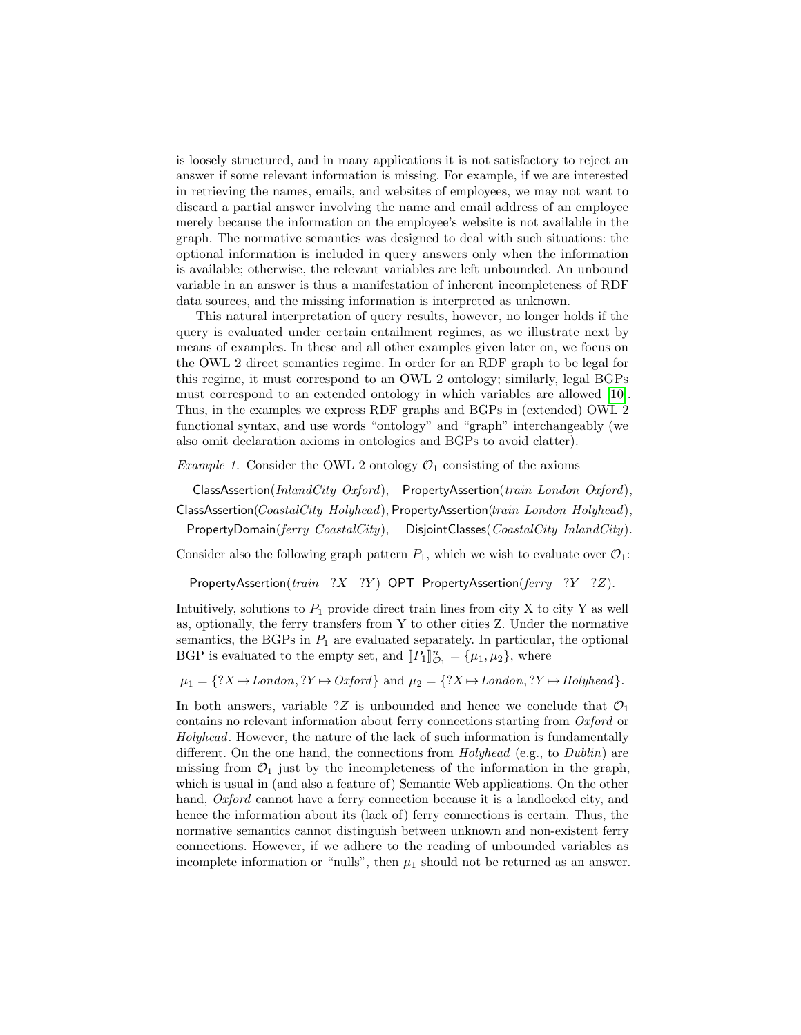is loosely structured, and in many applications it is not satisfactory to reject an answer if some relevant information is missing. For example, if we are interested in retrieving the names, emails, and websites of employees, we may not want to discard a partial answer involving the name and email address of an employee merely because the information on the employee's website is not available in the graph. The normative semantics was designed to deal with such situations: the optional information is included in query answers only when the information is available; otherwise, the relevant variables are left unbounded. An unbound variable in an answer is thus a manifestation of inherent incompleteness of RDF data sources, and the missing information is interpreted as unknown.

This natural interpretation of query results, however, no longer holds if the query is evaluated under certain entailment regimes, as we illustrate next by means of examples. In these and all other examples given later on, we focus on the OWL 2 direct semantics regime. In order for an RDF graph to be legal for this regime, it must correspond to an OWL 2 ontology; similarly, legal BGPs must correspond to an extended ontology in which variables are allowed [\[10\]](#page-11-5). Thus, in the examples we express RDF graphs and BGPs in (extended) OWL 2 functional syntax, and use words "ontology" and "graph" interchangeably (we also omit declaration axioms in ontologies and BGPs to avoid clatter).

<span id="page-5-0"></span>*Example 1.* Consider the OWL 2 ontology  $\mathcal{O}_1$  consisting of the axioms

 $\text{ClassA} \text{s}$  crition(InlandCity Oxford), PropertyAssertion(train London Oxford), ClassAssertion(CoastalCity Holyhead), PropertyAssertion(train London Holyhead), PropertyDomain(ferry CoastalCity), DisjointClasses(CoastalCity InlandCity).

Consider also the following graph pattern  $P_1$ , which we wish to evaluate over  $\mathcal{O}_1$ :

PropertyAssertion(train  $?X$   $?Y$ ) OPT PropertyAssertion(ferry  $?Y$   $?Z$ ).

Intuitively, solutions to  $P_1$  provide direct train lines from city X to city Y as well as, optionally, the ferry transfers from Y to other cities Z. Under the normative semantics, the BGPs in  $P_1$  are evaluated separately. In particular, the optional BGP is evaluated to the empty set, and  $[ P_1 ]_{\mathcal{O}_1}^n = {\mu_1, \mu_2},$  where

 $\mu_1 = \{?X \mapsto London, ?Y \mapsto Oxford\}$  and  $\mu_2 = \{?X \mapsto London, ?Y \mapsto Holyhead\}.$ 

In both answers, variable ?Z is unbounded and hence we conclude that  $\mathcal{O}_1$ contains no relevant information about ferry connections starting from Oxford or Holyhead. However, the nature of the lack of such information is fundamentally different. On the one hand, the connections from Holyhead (e.g., to Dublin) are missing from  $\mathcal{O}_1$  just by the incompleteness of the information in the graph, which is usual in (and also a feature of) Semantic Web applications. On the other hand, *Oxford* cannot have a ferry connection because it is a landlocked city, and hence the information about its (lack of) ferry connections is certain. Thus, the normative semantics cannot distinguish between unknown and non-existent ferry connections. However, if we adhere to the reading of unbounded variables as incomplete information or "nulls", then  $\mu_1$  should not be returned as an answer.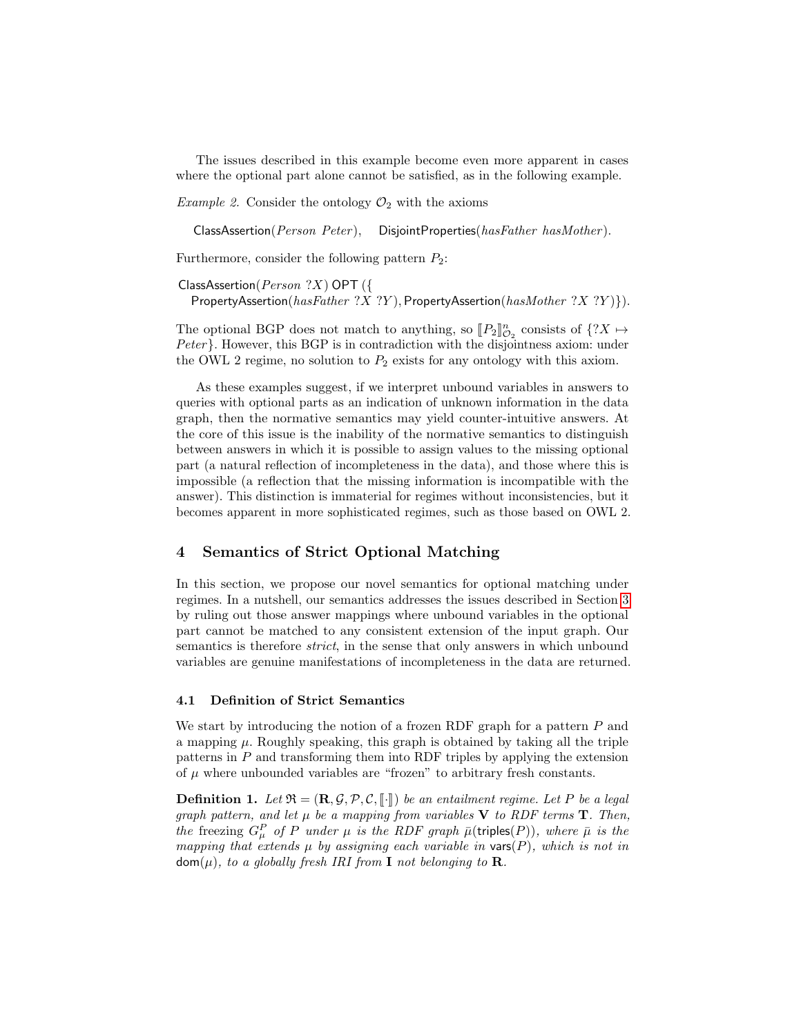The issues described in this example become even more apparent in cases where the optional part alone cannot be satisfied, as in the following example.

<span id="page-6-0"></span>*Example 2.* Consider the ontology  $\mathcal{O}_2$  with the axioms

ClassAssertion(Person Peter), DisjointProperties(hasFather hasMother).

Furthermore, consider the following pattern  $P_2$ :

ClassAssertion(Person ?X) OPT ({ PropertyAssertion(hasFather ?X ?Y), PropertyAssertion(hasMother ?X ?Y)}).

The optional BGP does not match to anything, so  $[\![P_2]\!]_{Q_2}^n$  consists of  $\{?X \mapsto$ <br>*Pater* However, this BCP is in contradiction with the disjointness axiom: under Peter}. However, this BGP is in contradiction with the disjointness axiom: under the OWL 2 regime, no solution to  $P_2$  exists for any ontology with this axiom.

As these examples suggest, if we interpret unbound variables in answers to queries with optional parts as an indication of unknown information in the data graph, then the normative semantics may yield counter-intuitive answers. At the core of this issue is the inability of the normative semantics to distinguish between answers in which it is possible to assign values to the missing optional part (a natural reflection of incompleteness in the data), and those where this is impossible (a reflection that the missing information is incompatible with the answer). This distinction is immaterial for regimes without inconsistencies, but it becomes apparent in more sophisticated regimes, such as those based on OWL 2.

## 4 Semantics of Strict Optional Matching

In this section, we propose our novel semantics for optional matching under regimes. In a nutshell, our semantics addresses the issues described in Section [3](#page-4-0) by ruling out those answer mappings where unbound variables in the optional part cannot be matched to any consistent extension of the input graph. Our semantics is therefore *strict*, in the sense that only answers in which unbound variables are genuine manifestations of incompleteness in the data are returned.

#### 4.1 Definition of Strict Semantics

We start by introducing the notion of a frozen RDF graph for a pattern  $P$  and a mapping  $\mu$ . Roughly speaking, this graph is obtained by taking all the triple patterns in P and transforming them into RDF triples by applying the extension of  $\mu$  where unbounded variables are "frozen" to arbitrary fresh constants.

**Definition 1.** Let  $\mathfrak{R} = (\mathbf{R}, \mathcal{G}, \mathcal{P}, \mathcal{C}, \llbracket \cdot \rrbracket)$  be an entailment regime. Let P be a legal graph pattern, and let  $\mu$  be a mapping from variables V to RDF terms **T**. Then, the freezing  $G^P_\mu$  of P under  $\mu$  is the RDF graph  $\bar{\mu}$ (triples(P)), where  $\bar{\mu}$  is the mapping that extends  $\mu$  by assigning each variable in vars(P), which is not in  $dom(\mu)$ , to a globally fresh IRI from **I** not belonging to **R**.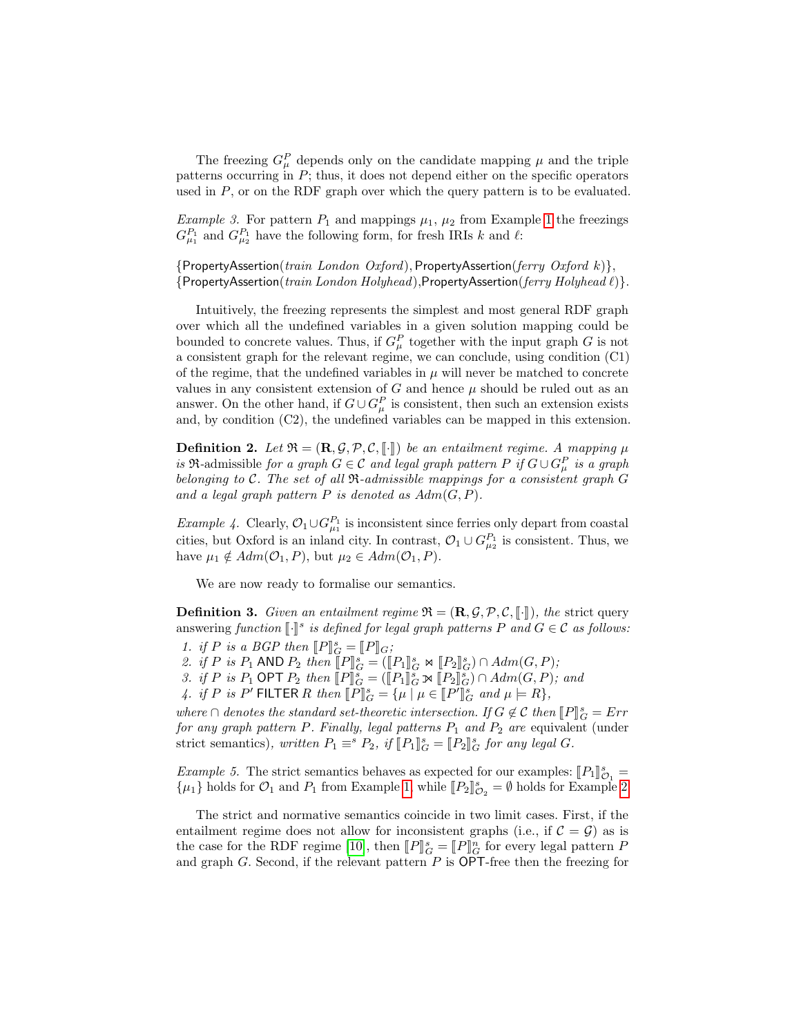The freezing  $G^P_\mu$  depends only on the candidate mapping  $\mu$  and the triple patterns occurring in  $P$ ; thus, it does not depend either on the specific operators used in  $P$ , or on the RDF graph over which the query pattern is to be evaluated.

*Example 3.* For pattern  $P_1$  and mappings  $\mu_1$ ,  $\mu_2$  from Example [1](#page-5-0) the freezings  $G_{\mu_1}^{P_1}$  and  $G_{\mu_2}^{P_1}$  have the following form, for fresh IRIs k and  $\ell$ :

 ${Property}$ Assertion(train London Oxford), PropertyAssertion(ferry Oxford k) },  ${PropertyA}$ ssertion(*train London Holyhead*),PropertyAssertion(*ferry Holyhead*  $\ell$ ) }.

Intuitively, the freezing represents the simplest and most general RDF graph over which all the undefined variables in a given solution mapping could be bounded to concrete values. Thus, if  $G^P_\mu$  together with the input graph G is not a consistent graph for the relevant regime, we can conclude, using condition (C1) of the regime, that the undefined variables in  $\mu$  will never be matched to concrete values in any consistent extension of G and hence  $\mu$  should be ruled out as an answer. On the other hand, if  $G \cup G_{\mu}^P$  is consistent, then such an extension exists and, by condition (C2), the undefined variables can be mapped in this extension.

**Definition 2.** Let  $\mathfrak{R} = (\mathbf{R}, \mathcal{G}, \mathcal{P}, \mathcal{C}, \llbracket \cdot \rrbracket)$  be an entailment regime. A mapping  $\mu$ is R-admissible for a graph  $G \in \mathcal{C}$  and legal graph pattern P if  $G \cup G_{\mu}^P$  is a graph belonging to C. The set of all R-admissible mappings for a consistent graph G and a legal graph pattern  $P$  is denoted as  $Adm(G, P)$ .

Example 4. Clearly,  $\mathcal{O}_1 \cup G_{\mu_1}^{\mu_1}$  is inconsistent since ferries only depart from coastal cities, but Oxford is an inland city. In contrast,  $\mathcal{O}_1 \cup G_{\mu_2}^{P_1}$  is consistent. Thus, we have  $\mu_1 \notin Adm(\mathcal{O}_1, P)$ , but  $\mu_2 \in Adm(\mathcal{O}_1, P)$ .

We are now ready to formalise our semantics.

<span id="page-7-0"></span>**Definition 3.** Given an entailment regime  $\mathfrak{R} = (\mathbf{R}, \mathcal{G}, \mathcal{P}, \mathcal{C}, \lbrack \cdot \rbrack)$ , the strict query answering function  $[\![\cdot]\!]^s$  is defined for legal graph patterns P and  $G \in \mathcal{C}$  as follows:

1. if P is a BGP then  $[\![P]\!]_G^s = [\![P]\!]_G^s$ ;<br>a if P is P AND P, then  $[\![P]\!]_S^s = [\![P]\!]_G^s$ ;

2. if P is P<sub>1</sub> AND P<sub>2</sub> then  $[[P]]_{G}^{s} = ([P_1]]_{G}^{s} \bowtie [P_2]]_{G}^{s} \cap Adm(G, P);$ <br>
g if P is P OPT P<sub>2</sub> then  $[[P]]_{G}^{s} = ([[P_1]]_{G}^{s} \bowtie [P_2]]_{G}^{s}) \cap Adm(G, P);$ 

3. if P is P<sub>1</sub> OPT  $P_2$  then  $\llbracket P \rrbracket_{G}^{s} = (\llbracket P_1 \rrbracket_{G}^{s} \rtimes \llbracket P_2 \rrbracket_{G}^{s}) \cap Adm(G, P)$ ; and  $\forall$  if P is P' FU TED B then  $\llbracket P \rrbracket_{G}^{s} = \{ \cup_{i=1}^{n} \cup_{i=1}^{n} \in \llbracket P' \rrbracket_{G}^{s} \text{ and } \cup_{i=1}^{n} P_i \}$ 

4. if P is P' FILTER R then  $[P]_G^s = {\mu \mid \mu \in [P']}$ "<br>ה  $S_G$  and  $\mu \models R$ ,

where  $\cap$  denotes the standard set-theoretic intersection. If  $G \notin \mathcal{C}$  then  $[\![P]\!]_G^s = Err$ <br>for any graph nattern  $P$ , Eingliss legal natterns  $P$ , and  $P$ , are equivalent (under for any graph pattern  $P$ . Finally, legal patterns  $P_1$  and  $P_2$  are equivalent (under strict semantics), written  $P_1 \equiv^s P_2$ , if  $[ P_1 ]_G^s = [ P_2 ]_G^s$  for any legal G.

Example 5. The strict semantics behaves as expected for our examples:  $[P_1]_{\mathcal{O}_1}^s =$  $\{\mu_1\}$  holds for  $\mathcal{O}_1$  and  $P_1$  from Example [1,](#page-5-0) while  $[ P_2 ]_{\mathcal{O}_2}^s = \emptyset$  holds for Example [2.](#page-6-0)

The strict and normative semantics coincide in two limit cases. First, if the entailment regime does not allow for inconsistent graphs (i.e., if  $C = \mathcal{G}$ ) as is the case for the RDF regime [\[10\]](#page-11-5), then  $[ P ]_G^r = [ P ]_G^r$  for every legal pattern P<br>and graph G. Second, if the relevant pattern P is **OPT** free than the frequent for and graph G. Second, if the relevant pattern  $P$  is OPT-free then the freezing for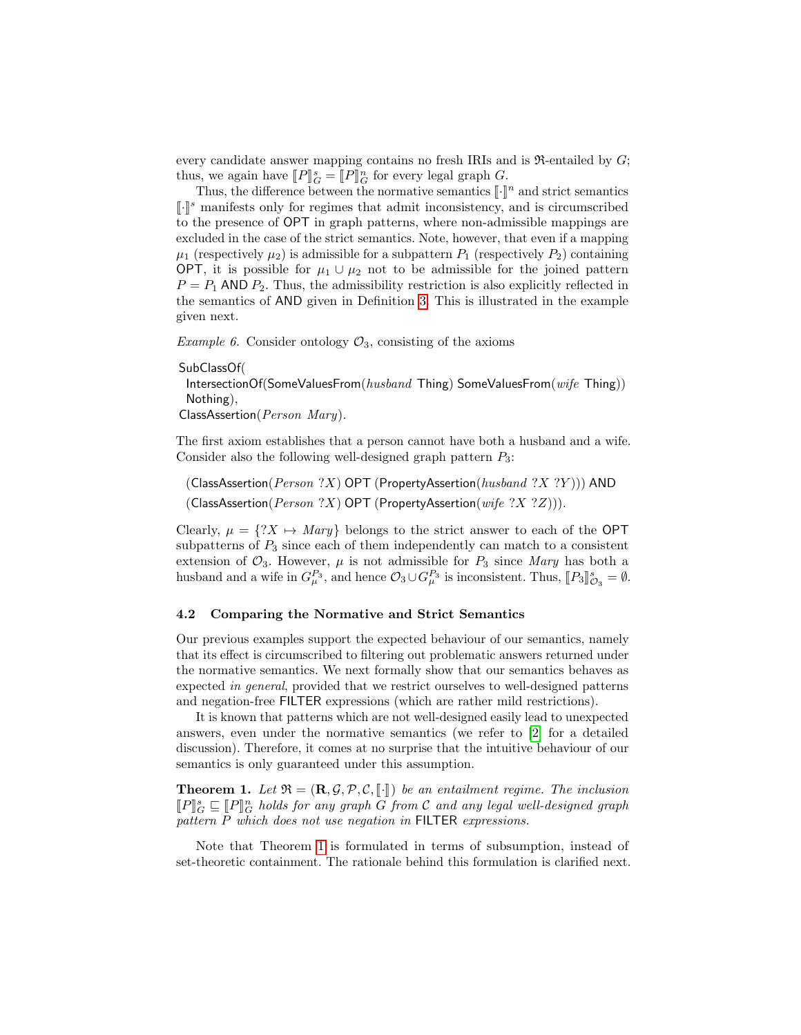every candidate answer mapping contains no fresh IRIs and is  $\Re$ -entailed by  $G$ ; thus, we again have  $[[P]]_G^s = [[P]]_G^n$  for every legal graph G.<br>Thus, the difference between the permeting computies  $[[P]]_G$ 

Thus, the difference between the normative semantics  $\llbracket \cdot \rrbracket^n$  and strict semantics maniforts only for regimes that admit inconsistency and is giroumscribed  $\llbracket \cdot \rrbracket^s$  manifests only for regimes that admit inconsistency, and is circumscribed<br>to the presence of OPT in graph patterns, where non-admissible mappings are to the presence of OPT in graph patterns, where non-admissible mappings are excluded in the case of the strict semantics. Note, however, that even if a mapping  $\mu_1$  (respectively  $\mu_2$ ) is admissible for a subpattern  $P_1$  (respectively  $P_2$ ) containing OPT, it is possible for  $\mu_1 \cup \mu_2$  not to be admissible for the joined pattern  $P = P_1$  AND  $P_2$ . Thus, the admissibility restriction is also explicitly reflected in the semantics of AND given in Definition [3.](#page-7-0) This is illustrated in the example given next.

Example 6. Consider ontology  $\mathcal{O}_3$ , consisting of the axioms

SubClassOf(

IntersectionOf(SomeValuesFrom(husband Thing) SomeValuesFrom(wife Thing)) Nothing),

ClassAssertion(Person Mary).

The first axiom establishes that a person cannot have both a husband and a wife. Consider also the following well-designed graph pattern  $P_3$ :

 $(ClassAssociation(Person ?X) \; OPT \; (Property Association(husband ?X ?Y))) \; AND$ (ClassAssertion( $Person$  ?X) OPT (PropertyAssertion( $wife$  ?X ?Z))).

Clearly,  $\mu = \{?X \mapsto Mary\}$  belongs to the strict answer to each of the OPT subpatterns of  $P_3$  since each of them independently can match to a consistent extension of  $\mathcal{O}_3$ . However,  $\mu$  is not admissible for  $P_3$  since Mary has both a husband and a wife in  $G_{\mu}^{P_3}$ , and hence  $\mathcal{O}_3 \cup G_{\mu}^{P_3}$  is inconsistent. Thus,  $[P_3]_{\mathcal{O}_3}^s = \emptyset$ .

#### 4.2 Comparing the Normative and Strict Semantics

Our previous examples support the expected behaviour of our semantics, namely that its effect is circumscribed to filtering out problematic answers returned under the normative semantics. We next formally show that our semantics behaves as expected in general, provided that we restrict ourselves to well-designed patterns and negation-free FILTER expressions (which are rather mild restrictions).

It is known that patterns which are not well-designed easily lead to unexpected answers, even under the normative semantics (we refer to [\[2\]](#page-11-1) for a detailed discussion). Therefore, it comes at no surprise that the intuitive behaviour of our semantics is only guaranteed under this assumption.

<span id="page-8-0"></span>**Theorem 1.** Let  $\mathfrak{R} = (\mathbf{R}, \mathcal{G}, \mathcal{P}, \mathcal{C}, \llbracket \cdot \rrbracket)$  be an entailment regime. The inclusion  $\llbracket P \rrbracket_{G}^{s} \sqsubseteq \llbracket P \rrbracket_{G}^{n}$  holds for any graph G from C and any legal well-designed graph<br>national B which does not use negation in  $\text{Ell} \text{TEB}$  expressions pattern P which does not use negation in FILTER expressions.

Note that Theorem [1](#page-8-0) is formulated in terms of subsumption, instead of set-theoretic containment. The rationale behind this formulation is clarified next.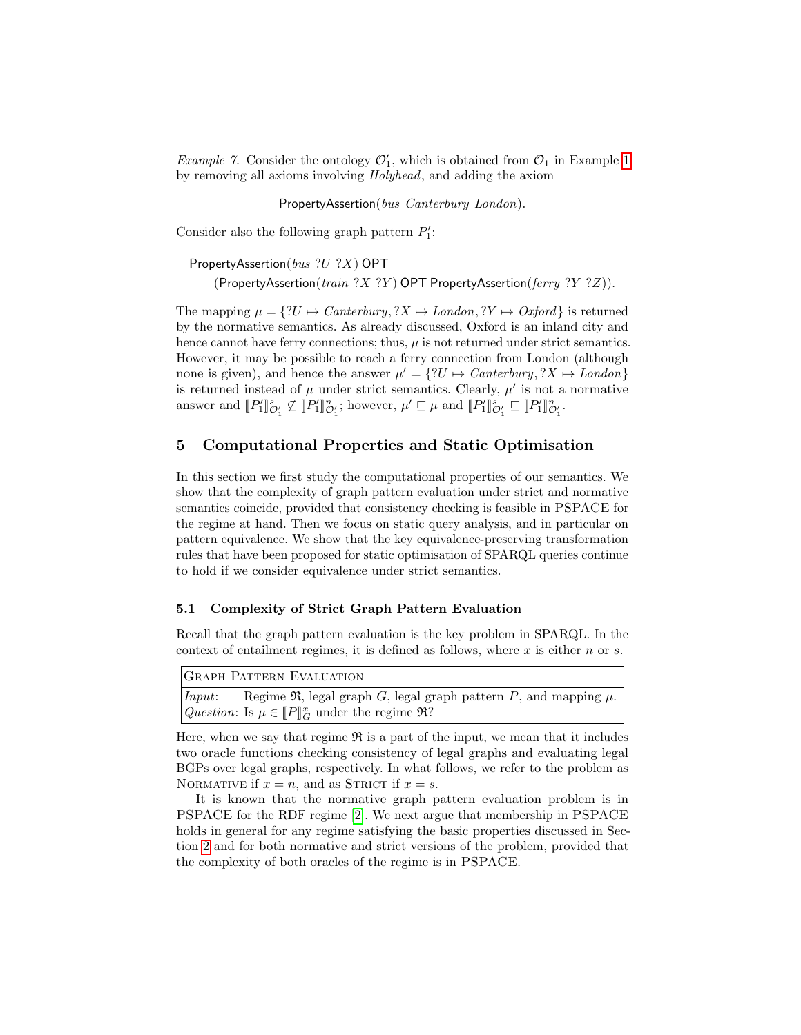*Example 7.* Consider the ontology  $\mathcal{O}'_1$ , which is obtained from  $\mathcal{O}_1$  in Example [1](#page-5-0) by removing all axioms involving Holyhead, and adding the axiom

PropertyAssertion(bus Canterbury London).

Consider also the following graph pattern  $P_1'$ :

PropertyAssertion(bus ?U ?X) OPT

(PropertyAssertion(train ?X ?Y) OPT PropertyAssertion(ferry ?Y ?Z)).

The mapping  $\mu = \{?U \mapsto \text{C}anterbury, ?X \mapsto \text{London}, ?Y \mapsto \text{Oxford}\}\$ is returned by the normative semantics. As already discussed, Oxford is an inland city and hence cannot have ferry connections; thus,  $\mu$  is not returned under strict semantics. However, it may be possible to reach a ferry connection from London (although none is given), and hence the answer  $\mu' = \{?U \mapsto \text{C}anterbury, ?X \mapsto \text{London}\}\$ is returned instead of  $\mu$  under strict semantics. Clearly,  $\mu'$  is not a normative answer and  $[P'_1]$  $S_{\mathcal{O}'_1} \not\subseteq [P'_1]$  $_{\mathcal{O}'_1}^n$ ; however,  $\mu' \sqsubseteq \mu$  and  $\llbracket P'_1 \rrbracket$  $S_{\mathcal{O}'_1} \sqsubseteq [P'_1]$  $\stackrel{n}{\mathcal{O}_1'}\cdot$ 

## 5 Computational Properties and Static Optimisation

In this section we first study the computational properties of our semantics. We show that the complexity of graph pattern evaluation under strict and normative semantics coincide, provided that consistency checking is feasible in PSPACE for the regime at hand. Then we focus on static query analysis, and in particular on pattern equivalence. We show that the key equivalence-preserving transformation rules that have been proposed for static optimisation of SPARQL queries continue to hold if we consider equivalence under strict semantics.

#### 5.1 Complexity of Strict Graph Pattern Evaluation

Recall that the graph pattern evaluation is the key problem in SPARQL. In the context of entailment regimes, it is defined as follows, where  $x$  is either  $n$  or  $s$ .

| <b>GRAPH PATTERN EVALUATION</b>                                                                                                                        |
|--------------------------------------------------------------------------------------------------------------------------------------------------------|
| Regime $\Re$ , legal graph $G$ , legal graph pattern P, and mapping $\mu$ .<br>$\vert Input:$<br>$[Question: Is \mu \in [P]_G^x under the regime \Re?$ |

Here, when we say that regime  $\Re$  is a part of the input, we mean that it includes two oracle functions checking consistency of legal graphs and evaluating legal BGPs over legal graphs, respectively. In what follows, we refer to the problem as NORMATIVE if  $x = n$ , and as STRICT if  $x = s$ .

<span id="page-9-0"></span>It is known that the normative graph pattern evaluation problem is in PSPACE for the RDF regime [\[2\]](#page-11-1). We next argue that membership in PSPACE holds in general for any regime satisfying the basic properties discussed in Section [2](#page-2-0) and for both normative and strict versions of the problem, provided that the complexity of both oracles of the regime is in PSPACE.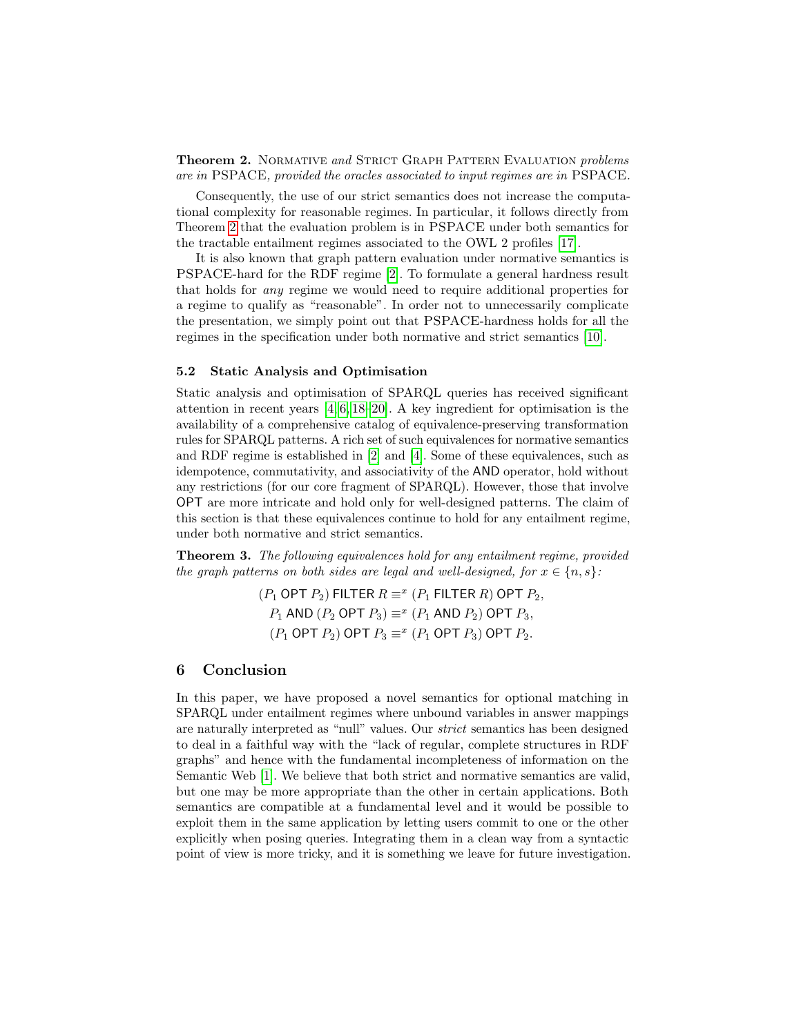Theorem 2. NORMATIVE and STRICT GRAPH PATTERN EVALUATION problems are in PSPACE, provided the oracles associated to input regimes are in PSPACE.

Consequently, the use of our strict semantics does not increase the computational complexity for reasonable regimes. In particular, it follows directly from Theorem [2](#page-9-0) that the evaluation problem is in PSPACE under both semantics for the tractable entailment regimes associated to the OWL 2 profiles [\[17\]](#page-11-14).

It is also known that graph pattern evaluation under normative semantics is PSPACE-hard for the RDF regime [\[2\]](#page-11-1). To formulate a general hardness result that holds for any regime we would need to require additional properties for a regime to qualify as "reasonable". In order not to unnecessarily complicate the presentation, we simply point out that PSPACE-hardness holds for all the regimes in the specification under both normative and strict semantics [\[10\]](#page-11-5).

#### 5.2 Static Analysis and Optimisation

Static analysis and optimisation of SPARQL queries has received significant attention in recent years [\[4,](#page-11-15) [6,](#page-11-12) [18](#page-11-16)[–20\]](#page-11-17). A key ingredient for optimisation is the availability of a comprehensive catalog of equivalence-preserving transformation rules for SPARQL patterns. A rich set of such equivalences for normative semantics and RDF regime is established in [\[2\]](#page-11-1) and [\[4\]](#page-11-15). Some of these equivalences, such as idempotence, commutativity, and associativity of the AND operator, hold without any restrictions (for our core fragment of SPARQL). However, those that involve OPT are more intricate and hold only for well-designed patterns. The claim of this section is that these equivalences continue to hold for any entailment regime, under both normative and strict semantics.

Theorem 3. The following equivalences hold for any entailment regime, provided the graph patterns on both sides are legal and well-designed, for  $x \in \{n, s\}$ :

> $(P_1$  OPT  $P_2$ ) FILTER  $R \equiv^x (P_1$  FILTER  $R$ ) OPT  $P_2$ ,  $P_1$  AND  $(P_2$  OPT  $P_3$ )  $\equiv^x (P_1$  AND  $P_2$ ) OPT  $P_3$ ,  $(P_1$  OPT  $P_2$ ) OPT  $P_3 \equiv^x (P_1$  OPT  $P_3$ ) OPT  $P_2$ .

## 6 Conclusion

In this paper, we have proposed a novel semantics for optional matching in SPARQL under entailment regimes where unbound variables in answer mappings are naturally interpreted as "null" values. Our strict semantics has been designed to deal in a faithful way with the "lack of regular, complete structures in RDF graphs" and hence with the fundamental incompleteness of information on the Semantic Web [\[1\]](#page-11-0). We believe that both strict and normative semantics are valid, but one may be more appropriate than the other in certain applications. Both semantics are compatible at a fundamental level and it would be possible to exploit them in the same application by letting users commit to one or the other explicitly when posing queries. Integrating them in a clean way from a syntactic point of view is more tricky, and it is something we leave for future investigation.